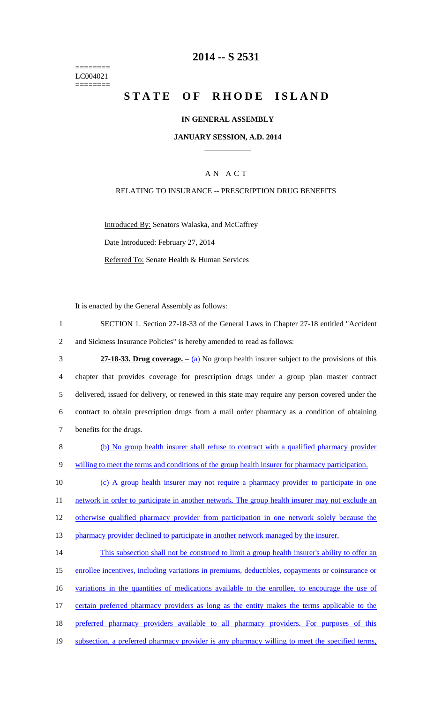======== LC004021 ========

# **2014 -- S 2531**

# **STATE OF RHODE ISLAND**

## **IN GENERAL ASSEMBLY**

### **JANUARY SESSION, A.D. 2014 \_\_\_\_\_\_\_\_\_\_\_\_**

## A N A C T

#### RELATING TO INSURANCE -- PRESCRIPTION DRUG BENEFITS

Introduced By: Senators Walaska, and McCaffrey Date Introduced: February 27, 2014 Referred To: Senate Health & Human Services

It is enacted by the General Assembly as follows:

| SECTION 1. Section 27-18-33 of the General Laws in Chapter 27-18 entitled "Accident" |
|--------------------------------------------------------------------------------------|
| and Sickness Insurance Policies" is hereby amended to read as follows:               |

| 3              | 27-18-33. Drug coverage. $-$ (a) No group health insurer subject to the provisions of this        |
|----------------|---------------------------------------------------------------------------------------------------|
| $\overline{4}$ | chapter that provides coverage for prescription drugs under a group plan master contract          |
| 5              | delivered, issued for delivery, or renewed in this state may require any person covered under the |
| 6              | contract to obtain prescription drugs from a mail order pharmacy as a condition of obtaining      |
|                | benefits for the drugs.                                                                           |

| (b) No group health insurer shall refuse to contract with a qualified pharmacy provider          |
|--------------------------------------------------------------------------------------------------|
|                                                                                                  |
| willing to meet the terms and conditions of the group health insurer for pharmacy participation. |

10 (c) A group health insurer may not require a pharmacy provider to participate in one 11 network in order to participate in another network. The group health insurer may not exclude an 12 otherwise qualified pharmacy provider from participation in one network solely because the 13 pharmacy provider declined to participate in another network managed by the insurer.

14 This subsection shall not be construed to limit a group health insurer's ability to offer an 15 enrollee incentives, including variations in premiums, deductibles, copayments or coinsurance or 16 variations in the quantities of medications available to the enrollee, to encourage the use of 17 certain preferred pharmacy providers as long as the entity makes the terms applicable to the 18 preferred pharmacy providers available to all pharmacy providers. For purposes of this 19 subsection, a preferred pharmacy provider is any pharmacy willing to meet the specified terms,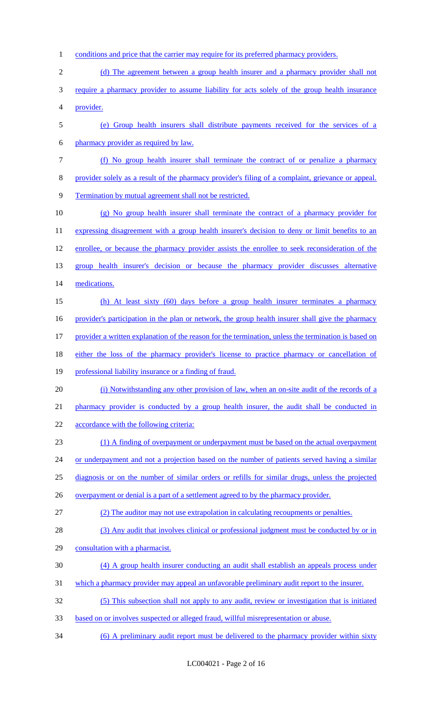- 1 conditions and price that the carrier may require for its preferred pharmacy providers.
- 2 (d) The agreement between a group health insurer and a pharmacy provider shall not
- require a pharmacy provider to assume liability for acts solely of the group health insurance provider.
- (e) Group health insurers shall distribute payments received for the services of a
- pharmacy provider as required by law.
- (f) No group health insurer shall terminate the contract of or penalize a pharmacy
- provider solely as a result of the pharmacy provider's filing of a complaint, grievance or appeal.
- Termination by mutual agreement shall not be restricted.
- (g) No group health insurer shall terminate the contract of a pharmacy provider for 11 expressing disagreement with a group health insurer's decision to deny or limit benefits to an 12 enrollee, or because the pharmacy provider assists the enrollee to seek reconsideration of the group health insurer's decision or because the pharmacy provider discusses alternative medications.
- (h) At least sixty (60) days before a group health insurer terminates a pharmacy 16 provider's participation in the plan or network, the group health insurer shall give the pharmacy provider a written explanation of the reason for the termination, unless the termination is based on
- either the loss of the pharmacy provider's license to practice pharmacy or cancellation of
- professional liability insurance or a finding of fraud.
- (i) Notwithstanding any other provision of law, when an on-site audit of the records of a
- 21 pharmacy provider is conducted by a group health insurer, the audit shall be conducted in
- 22 accordance with the following criteria:
- (1) A finding of overpayment or underpayment must be based on the actual overpayment
- 24 or underpayment and not a projection based on the number of patients served having a similar
- diagnosis or on the number of similar orders or refills for similar drugs, unless the projected
- 26 overpayment or denial is a part of a settlement agreed to by the pharmacy provider.
- (2) The auditor may not use extrapolation in calculating recoupments or penalties.
- 28 (3) Any audit that involves clinical or professional judgment must be conducted by or in
- consultation with a pharmacist.
- (4) A group health insurer conducting an audit shall establish an appeals process under
- which a pharmacy provider may appeal an unfavorable preliminary audit report to the insurer.
- (5) This subsection shall not apply to any audit, review or investigation that is initiated
- based on or involves suspected or alleged fraud, willful misrepresentation or abuse.
- (6) A preliminary audit report must be delivered to the pharmacy provider within sixty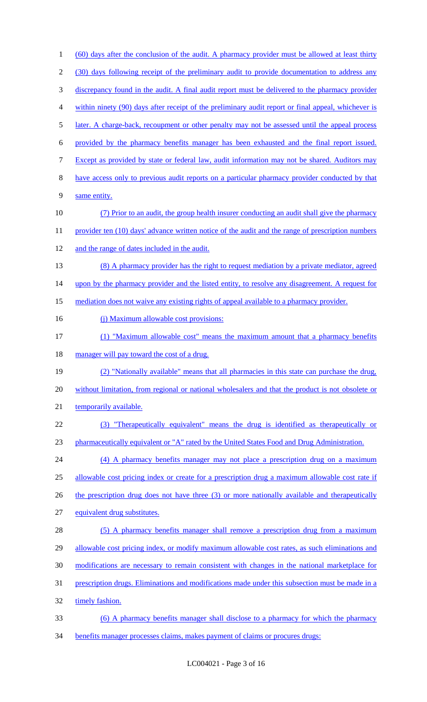(60) days after the conclusion of the audit. A pharmacy provider must be allowed at least thirty (30) days following receipt of the preliminary audit to provide documentation to address any discrepancy found in the audit. A final audit report must be delivered to the pharmacy provider within ninety (90) days after receipt of the preliminary audit report or final appeal, whichever is 5 later. A charge-back, recoupment or other penalty may not be assessed until the appeal process provided by the pharmacy benefits manager has been exhausted and the final report issued. Except as provided by state or federal law, audit information may not be shared. Auditors may have access only to previous audit reports on a particular pharmacy provider conducted by that same entity. (7) Prior to an audit, the group health insurer conducting an audit shall give the pharmacy 11 provider ten (10) days' advance written notice of the audit and the range of prescription numbers and the range of dates included in the audit. 13 (8) A pharmacy provider has the right to request mediation by a private mediator, agreed 14 upon by the pharmacy provider and the listed entity, to resolve any disagreement. A request for mediation does not waive any existing rights of appeal available to a pharmacy provider. 16 (j) Maximum allowable cost provisions: (1) "Maximum allowable cost" means the maximum amount that a pharmacy benefits 18 manager will pay toward the cost of a drug. (2) "Nationally available" means that all pharmacies in this state can purchase the drug, without limitation, from regional or national wholesalers and that the product is not obsolete or 21 temporarily available. (3) "Therapeutically equivalent" means the drug is identified as therapeutically or 23 pharmaceutically equivalent or "A" rated by the United States Food and Drug Administration. (4) A pharmacy benefits manager may not place a prescription drug on a maximum allowable cost pricing index or create for a prescription drug a maximum allowable cost rate if 26 the prescription drug does not have three (3) or more nationally available and therapeutically equivalent drug substitutes. 28 (5) A pharmacy benefits manager shall remove a prescription drug from a maximum 29 allowable cost pricing index, or modify maximum allowable cost rates, as such eliminations and modifications are necessary to remain consistent with changes in the national marketplace for prescription drugs. Eliminations and modifications made under this subsection must be made in a 32 timely fashion. (6) A pharmacy benefits manager shall disclose to a pharmacy for which the pharmacy benefits manager processes claims, makes payment of claims or procures drugs: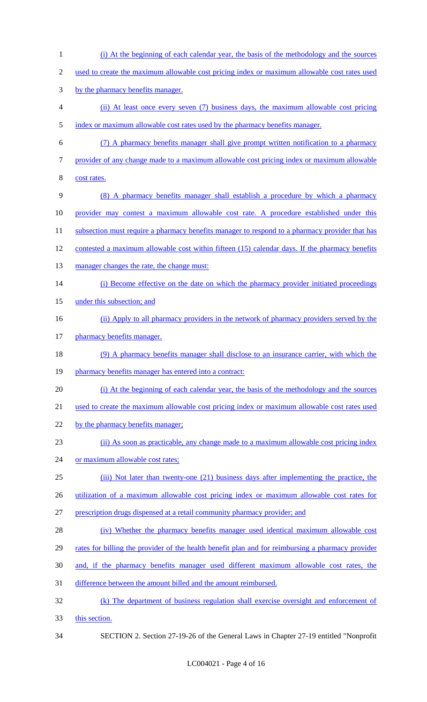(i) At the beginning of each calendar year, the basis of the methodology and the sources 2 used to create the maximum allowable cost pricing index or maximum allowable cost rates used by the pharmacy benefits manager. (ii) At least once every seven (7) business days, the maximum allowable cost pricing 5 index or maximum allowable cost rates used by the pharmacy benefits manager. (7) A pharmacy benefits manager shall give prompt written notification to a pharmacy provider of any change made to a maximum allowable cost pricing index or maximum allowable cost rates. (8) A pharmacy benefits manager shall establish a procedure by which a pharmacy provider may contest a maximum allowable cost rate. A procedure established under this 11 subsection must require a pharmacy benefits manager to respond to a pharmacy provider that has contested a maximum allowable cost within fifteen (15) calendar days. If the pharmacy benefits 13 manager changes the rate, the change must: 14 (i) Become effective on the date on which the pharmacy provider initiated proceedings 15 under this subsection; and (ii) Apply to all pharmacy providers in the network of pharmacy providers served by the 17 pharmacy benefits manager. (9) A pharmacy benefits manager shall disclose to an insurance carrier, with which the 19 pharmacy benefits manager has entered into a contract: (i) At the beginning of each calendar year, the basis of the methodology and the sources used to create the maximum allowable cost pricing index or maximum allowable cost rates used 22 by the pharmacy benefits manager; (ii) As soon as practicable, any change made to a maximum allowable cost pricing index 24 or maximum allowable cost rates; (iii) Not later than twenty-one (21) business days after implementing the practice, the utilization of a maximum allowable cost pricing index or maximum allowable cost rates for prescription drugs dispensed at a retail community pharmacy provider; and (iv) Whether the pharmacy benefits manager used identical maximum allowable cost 29 rates for billing the provider of the health benefit plan and for reimbursing a pharmacy provider and, if the pharmacy benefits manager used different maximum allowable cost rates, the difference between the amount billed and the amount reimbursed. (k) The department of business regulation shall exercise oversight and enforcement of this section. SECTION 2. Section 27-19-26 of the General Laws in Chapter 27-19 entitled "Nonprofit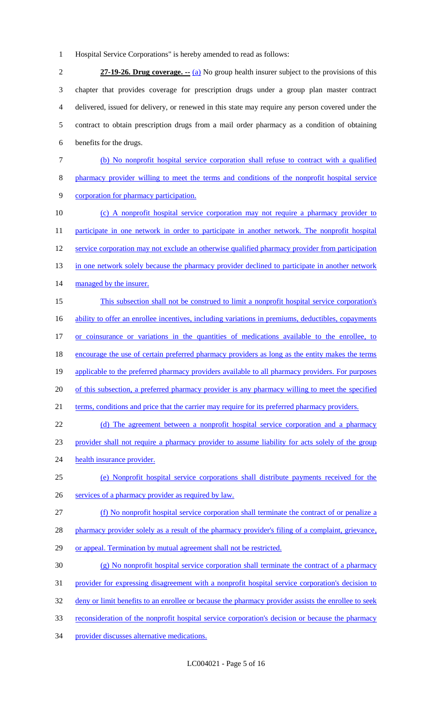1 Hospital Service Corporations" is hereby amended to read as follows:

 **27-19-26. Drug coverage. --** (a) No group health insurer subject to the provisions of this chapter that provides coverage for prescription drugs under a group plan master contract delivered, issued for delivery, or renewed in this state may require any person covered under the contract to obtain prescription drugs from a mail order pharmacy as a condition of obtaining benefits for the drugs.

- 7 (b) No nonprofit hospital service corporation shall refuse to contract with a qualified 8 pharmacy provider willing to meet the terms and conditions of the nonprofit hospital service 9 corporation for pharmacy participation.
- 10 (c) A nonprofit hospital service corporation may not require a pharmacy provider to 11 participate in one network in order to participate in another network. The nonprofit hospital 12 service corporation may not exclude an otherwise qualified pharmacy provider from participation 13 in one network solely because the pharmacy provider declined to participate in another network 14 managed by the insurer. 15 This subsection shall not be construed to limit a nonprofit hospital service corporation's
- 16 ability to offer an enrollee incentives, including variations in premiums, deductibles, copayments 17 or coinsurance or variations in the quantities of medications available to the enrollee, to 18 encourage the use of certain preferred pharmacy providers as long as the entity makes the terms 19 applicable to the preferred pharmacy providers available to all pharmacy providers. For purposes 20 of this subsection, a preferred pharmacy provider is any pharmacy willing to meet the specified 21 terms, conditions and price that the carrier may require for its preferred pharmacy providers.
- 22 (d) The agreement between a nonprofit hospital service corporation and a pharmacy 23 provider shall not require a pharmacy provider to assume liability for acts solely of the group 24 health insurance provider.
- 25 (e) Nonprofit hospital service corporations shall distribute payments received for the
- 26 services of a pharmacy provider as required by law.
- 27 (f) No nonprofit hospital service corporation shall terminate the contract of or penalize a
- 28 pharmacy provider solely as a result of the pharmacy provider's filing of a complaint, grievance,
- 29 or appeal. Termination by mutual agreement shall not be restricted.
- 30 (g) No nonprofit hospital service corporation shall terminate the contract of a pharmacy
- 31 provider for expressing disagreement with a nonprofit hospital service corporation's decision to
- 32 deny or limit benefits to an enrollee or because the pharmacy provider assists the enrollee to seek
- 33 reconsideration of the nonprofit hospital service corporation's decision or because the pharmacy
- 34 provider discusses alternative medications.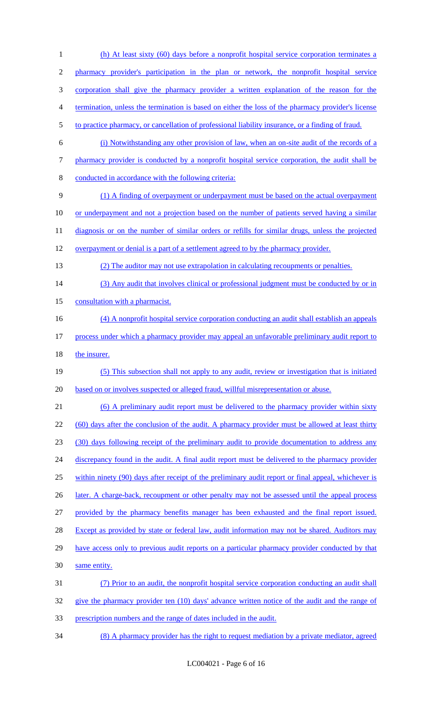(h) At least sixty (60) days before a nonprofit hospital service corporation terminates a pharmacy provider's participation in the plan or network, the nonprofit hospital service corporation shall give the pharmacy provider a written explanation of the reason for the termination, unless the termination is based on either the loss of the pharmacy provider's license to practice pharmacy, or cancellation of professional liability insurance, or a finding of fraud. (i) Notwithstanding any other provision of law, when an on-site audit of the records of a pharmacy provider is conducted by a nonprofit hospital service corporation, the audit shall be conducted in accordance with the following criteria: (1) A finding of overpayment or underpayment must be based on the actual overpayment or underpayment and not a projection based on the number of patients served having a similar 11 diagnosis or on the number of similar orders or refills for similar drugs, unless the projected 12 overpayment or denial is a part of a settlement agreed to by the pharmacy provider. (2) The auditor may not use extrapolation in calculating recoupments or penalties. 14 (3) Any audit that involves clinical or professional judgment must be conducted by or in 15 consultation with a pharmacist. (4) A nonprofit hospital service corporation conducting an audit shall establish an appeals process under which a pharmacy provider may appeal an unfavorable preliminary audit report to 18 the insurer. (5) This subsection shall not apply to any audit, review or investigation that is initiated based on or involves suspected or alleged fraud, willful misrepresentation or abuse. (6) A preliminary audit report must be delivered to the pharmacy provider within sixty 22 (60) days after the conclusion of the audit. A pharmacy provider must be allowed at least thirty (30) days following receipt of the preliminary audit to provide documentation to address any 24 discrepancy found in the audit. A final audit report must be delivered to the pharmacy provider within ninety (90) days after receipt of the preliminary audit report or final appeal, whichever is 26 later. A charge-back, recoupment or other penalty may not be assessed until the appeal process provided by the pharmacy benefits manager has been exhausted and the final report issued. 28 Except as provided by state or federal law, audit information may not be shared. Auditors may 29 have access only to previous audit reports on a particular pharmacy provider conducted by that same entity. (7) Prior to an audit, the nonprofit hospital service corporation conducting an audit shall give the pharmacy provider ten (10) days' advance written notice of the audit and the range of prescription numbers and the range of dates included in the audit.

(8) A pharmacy provider has the right to request mediation by a private mediator, agreed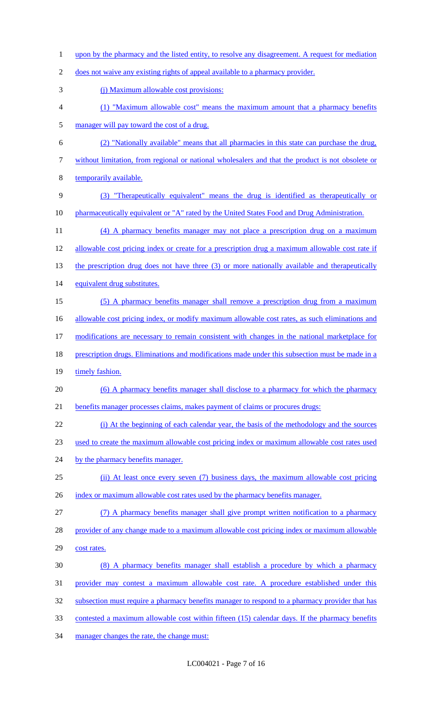1 upon by the pharmacy and the listed entity, to resolve any disagreement. A request for mediation

does not waive any existing rights of appeal available to a pharmacy provider.

- (j) Maximum allowable cost provisions:
- (1) "Maximum allowable cost" means the maximum amount that a pharmacy benefits manager will pay toward the cost of a drug.
- (2) "Nationally available" means that all pharmacies in this state can purchase the drug,
- without limitation, from regional or national wholesalers and that the product is not obsolete or
- temporarily available.
- (3) "Therapeutically equivalent" means the drug is identified as therapeutically or 10 pharmaceutically equivalent or "A" rated by the United States Food and Drug Administration.
- (4) A pharmacy benefits manager may not place a prescription drug on a maximum
- allowable cost pricing index or create for a prescription drug a maximum allowable cost rate if
- 13 the prescription drug does not have three (3) or more nationally available and therapeutically
- equivalent drug substitutes.
- (5) A pharmacy benefits manager shall remove a prescription drug from a maximum
- 16 allowable cost pricing index, or modify maximum allowable cost rates, as such eliminations and
- modifications are necessary to remain consistent with changes in the national marketplace for
- 18 prescription drugs. Eliminations and modifications made under this subsection must be made in a
- 19 timely fashion.
- 20 (6) A pharmacy benefits manager shall disclose to a pharmacy for which the pharmacy
- benefits manager processes claims, makes payment of claims or procures drugs:
- (i) At the beginning of each calendar year, the basis of the methodology and the sources
- used to create the maximum allowable cost pricing index or maximum allowable cost rates used
- 24 by the pharmacy benefits manager.
- (ii) At least once every seven (7) business days, the maximum allowable cost pricing
- 26 index or maximum allowable cost rates used by the pharmacy benefits manager.

(7) A pharmacy benefits manager shall give prompt written notification to a pharmacy

- 28 provider of any change made to a maximum allowable cost pricing index or maximum allowable
- cost rates.
- (8) A pharmacy benefits manager shall establish a procedure by which a pharmacy
- provider may contest a maximum allowable cost rate. A procedure established under this
- 32 subsection must require a pharmacy benefits manager to respond to a pharmacy provider that has
- contested a maximum allowable cost within fifteen (15) calendar days. If the pharmacy benefits
- manager changes the rate, the change must: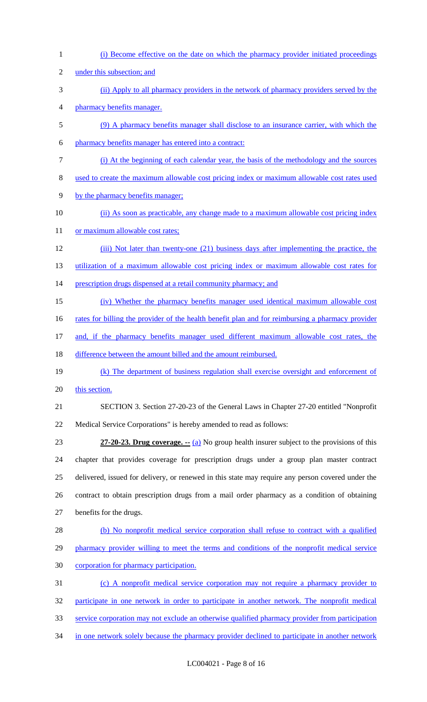(i) Become effective on the date on which the pharmacy provider initiated proceedings under this subsection; and (ii) Apply to all pharmacy providers in the network of pharmacy providers served by the pharmacy benefits manager. (9) A pharmacy benefits manager shall disclose to an insurance carrier, with which the pharmacy benefits manager has entered into a contract: (i) At the beginning of each calendar year, the basis of the methodology and the sources used to create the maximum allowable cost pricing index or maximum allowable cost rates used by the pharmacy benefits manager; (ii) As soon as practicable, any change made to a maximum allowable cost pricing index 11 or maximum allowable cost rates; (iii) Not later than twenty-one (21) business days after implementing the practice, the utilization of a maximum allowable cost pricing index or maximum allowable cost rates for 14 prescription drugs dispensed at a retail community pharmacy; and (iv) Whether the pharmacy benefits manager used identical maximum allowable cost 16 rates for billing the provider of the health benefit plan and for reimbursing a pharmacy provider and, if the pharmacy benefits manager used different maximum allowable cost rates, the 18 difference between the amount billed and the amount reimbursed. (k) The department of business regulation shall exercise oversight and enforcement of 20 this section. SECTION 3. Section 27-20-23 of the General Laws in Chapter 27-20 entitled "Nonprofit Medical Service Corporations" is hereby amended to read as follows: **27-20-23. Drug coverage. --** (a) No group health insurer subject to the provisions of this chapter that provides coverage for prescription drugs under a group plan master contract delivered, issued for delivery, or renewed in this state may require any person covered under the contract to obtain prescription drugs from a mail order pharmacy as a condition of obtaining benefits for the drugs. (b) No nonprofit medical service corporation shall refuse to contract with a qualified 29 pharmacy provider willing to meet the terms and conditions of the nonprofit medical service corporation for pharmacy participation. (c) A nonprofit medical service corporation may not require a pharmacy provider to participate in one network in order to participate in another network. The nonprofit medical service corporation may not exclude an otherwise qualified pharmacy provider from participation 34 in one network solely because the pharmacy provider declined to participate in another network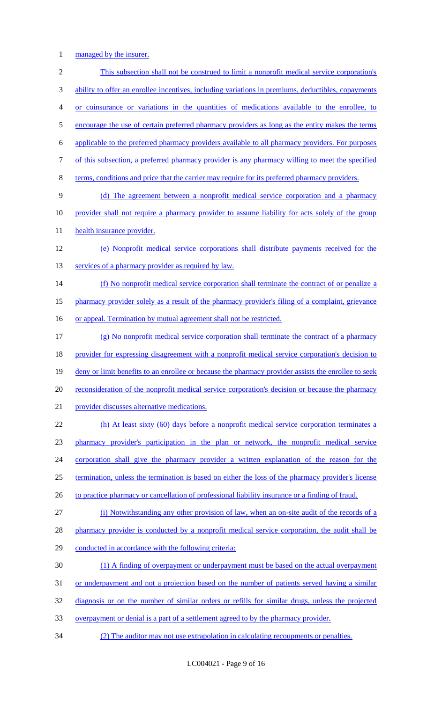managed by the insurer.

 This subsection shall not be construed to limit a nonprofit medical service corporation's ability to offer an enrollee incentives, including variations in premiums, deductibles, copayments or coinsurance or variations in the quantities of medications available to the enrollee, to 5 encourage the use of certain preferred pharmacy providers as long as the entity makes the terms applicable to the preferred pharmacy providers available to all pharmacy providers. For purposes of this subsection, a preferred pharmacy provider is any pharmacy willing to meet the specified terms, conditions and price that the carrier may require for its preferred pharmacy providers. (d) The agreement between a nonprofit medical service corporation and a pharmacy provider shall not require a pharmacy provider to assume liability for acts solely of the group 11 health insurance provider. (e) Nonprofit medical service corporations shall distribute payments received for the 13 services of a pharmacy provider as required by law. 14 (f) No nonprofit medical service corporation shall terminate the contract of or penalize a pharmacy provider solely as a result of the pharmacy provider's filing of a complaint, grievance 16 or appeal. Termination by mutual agreement shall not be restricted. (g) No nonprofit medical service corporation shall terminate the contract of a pharmacy provider for expressing disagreement with a nonprofit medical service corporation's decision to 19 deny or limit benefits to an enrollee or because the pharmacy provider assists the enrollee to seek 20 reconsideration of the nonprofit medical service corporation's decision or because the pharmacy provider discusses alternative medications. (h) At least sixty (60) days before a nonprofit medical service corporation terminates a pharmacy provider's participation in the plan or network, the nonprofit medical service corporation shall give the pharmacy provider a written explanation of the reason for the termination, unless the termination is based on either the loss of the pharmacy provider's license 26 to practice pharmacy or cancellation of professional liability insurance or a finding of fraud. (i) Notwithstanding any other provision of law, when an on-site audit of the records of a 28 pharmacy provider is conducted by a nonprofit medical service corporation, the audit shall be conducted in accordance with the following criteria: (1) A finding of overpayment or underpayment must be based on the actual overpayment 31 or underpayment and not a projection based on the number of patients served having a similar diagnosis or on the number of similar orders or refills for similar drugs, unless the projected overpayment or denial is a part of a settlement agreed to by the pharmacy provider. (2) The auditor may not use extrapolation in calculating recoupments or penalties.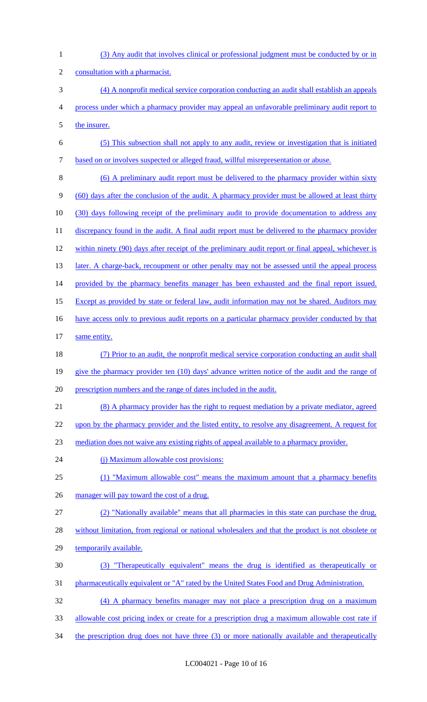| $\mathbf{1}$   | (3) Any audit that involves clinical or professional judgment must be conducted by or in            |
|----------------|-----------------------------------------------------------------------------------------------------|
| $\overline{c}$ | consultation with a pharmacist.                                                                     |
| 3              | (4) A nonprofit medical service corporation conducting an audit shall establish an appeals          |
| 4              | process under which a pharmacy provider may appeal an unfavorable preliminary audit report to       |
| 5              | the insurer.                                                                                        |
| 6              | (5) This subsection shall not apply to any audit, review or investigation that is initiated         |
| 7              | based on or involves suspected or alleged fraud, willful misrepresentation or abuse.                |
| 8              | (6) A preliminary audit report must be delivered to the pharmacy provider within sixty              |
| 9              | (60) days after the conclusion of the audit. A pharmacy provider must be allowed at least thirty    |
| 10             | (30) days following receipt of the preliminary audit to provide documentation to address any        |
| 11             | discrepancy found in the audit. A final audit report must be delivered to the pharmacy provider     |
| 12             | within ninety (90) days after receipt of the preliminary audit report or final appeal, whichever is |
| 13             | later. A charge-back, recoupment or other penalty may not be assessed until the appeal process      |
| 14             | provided by the pharmacy benefits manager has been exhausted and the final report issued.           |
| 15             | Except as provided by state or federal law, audit information may not be shared. Auditors may       |
| 16             | have access only to previous audit reports on a particular pharmacy provider conducted by that      |
| 17             | same entity.                                                                                        |
| 18             | (7) Prior to an audit, the nonprofit medical service corporation conducting an audit shall          |
| 19             | give the pharmacy provider ten (10) days' advance written notice of the audit and the range of      |
| 20             | prescription numbers and the range of dates included in the audit.                                  |
| 21             | (8) A pharmacy provider has the right to request mediation by a private mediator, agreed            |
| 22             | upon by the pharmacy provider and the listed entity, to resolve any disagreement. A request for     |
| 23             | mediation does not waive any existing rights of appeal available to a pharmacy provider.            |
| 24             | (i) Maximum allowable cost provisions:                                                              |
| 25             | (1) "Maximum allowable cost" means the maximum amount that a pharmacy benefits                      |
| 26             | manager will pay toward the cost of a drug.                                                         |
| 27             | (2) "Nationally available" means that all pharmacies in this state can purchase the drug,           |
| 28             | without limitation, from regional or national wholesalers and that the product is not obsolete or   |
| 29             | temporarily available.                                                                              |
| 30             | (3) "Therapeutically equivalent" means the drug is identified as therapeutically or                 |
| 31             | pharmaceutically equivalent or "A" rated by the United States Food and Drug Administration.         |
| 32             | (4) A pharmacy benefits manager may not place a prescription drug on a maximum                      |
| 33             | allowable cost pricing index or create for a prescription drug a maximum allowable cost rate if     |

34 the prescription drug does not have three (3) or more nationally available and therapeutically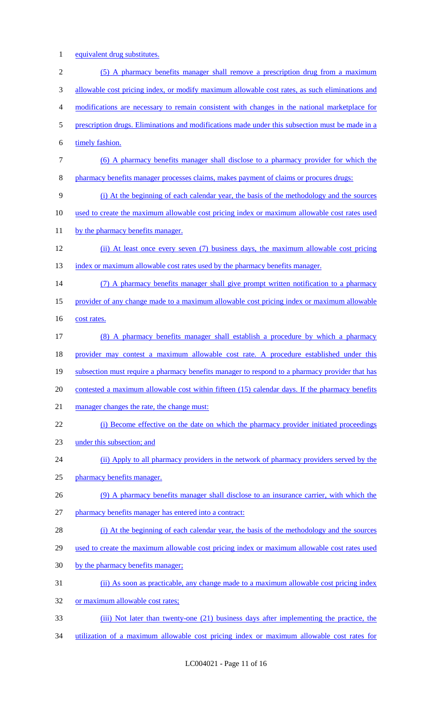1 equivalent drug substitutes.

| $\overline{2}$ | (5) A pharmacy benefits manager shall remove a prescription drug from a maximum                 |
|----------------|-------------------------------------------------------------------------------------------------|
| 3              | allowable cost pricing index, or modify maximum allowable cost rates, as such eliminations and  |
| 4              | modifications are necessary to remain consistent with changes in the national marketplace for   |
| 5              | prescription drugs. Eliminations and modifications made under this subsection must be made in a |
| 6              | timely fashion.                                                                                 |
| 7              | (6) A pharmacy benefits manager shall disclose to a pharmacy provider for which the             |
| 8              | pharmacy benefits manager processes claims, makes payment of claims or procures drugs:          |
| 9              | (i) At the beginning of each calendar year, the basis of the methodology and the sources        |
| 10             | used to create the maximum allowable cost pricing index or maximum allowable cost rates used    |
| 11             | by the pharmacy benefits manager.                                                               |
| 12             | (ii) At least once every seven (7) business days, the maximum allowable cost pricing            |
| 13             | index or maximum allowable cost rates used by the pharmacy benefits manager.                    |
| 14             | (7) A pharmacy benefits manager shall give prompt written notification to a pharmacy            |
| 15             | provider of any change made to a maximum allowable cost pricing index or maximum allowable      |
| 16             | cost rates.                                                                                     |
| 17             | (8) A pharmacy benefits manager shall establish a procedure by which a pharmacy                 |
| 18             | provider may contest a maximum allowable cost rate. A procedure established under this          |
| 19             | subsection must require a pharmacy benefits manager to respond to a pharmacy provider that has  |
| 20             | contested a maximum allowable cost within fifteen (15) calendar days. If the pharmacy benefits  |
| 21             | manager changes the rate, the change must:                                                      |
| 22             | (i) Become effective on the date on which the pharmacy provider initiated proceedings           |
| 23             | under this subsection; and                                                                      |
| 24             | (ii) Apply to all pharmacy providers in the network of pharmacy providers served by the         |
| 25             | pharmacy benefits manager.                                                                      |
| 26             | (9) A pharmacy benefits manager shall disclose to an insurance carrier, with which the          |
| 27             | pharmacy benefits manager has entered into a contract:                                          |
| 28             | (i) At the beginning of each calendar year, the basis of the methodology and the sources        |
| 29             | used to create the maximum allowable cost pricing index or maximum allowable cost rates used    |
| 30             | by the pharmacy benefits manager;                                                               |
| 31             | (ii) As soon as practicable, any change made to a maximum allowable cost pricing index          |
| 32             | or maximum allowable cost rates;                                                                |
| 33             | (iii) Not later than twenty-one (21) business days after implementing the practice, the         |

34 utilization of a maximum allowable cost pricing index or maximum allowable cost rates for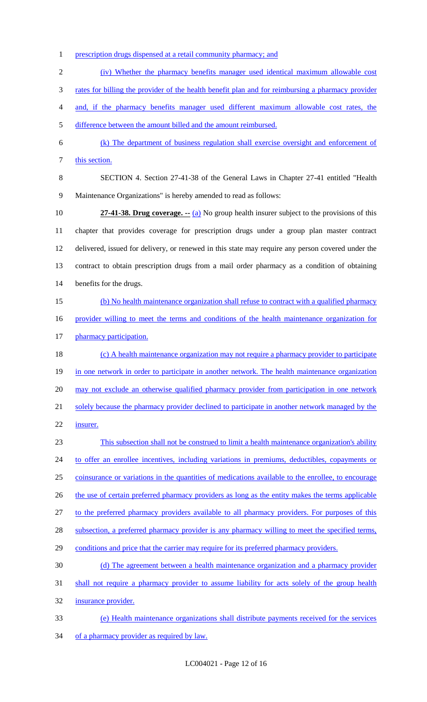prescription drugs dispensed at a retail community pharmacy; and

(iv) Whether the pharmacy benefits manager used identical maximum allowable cost

rates for billing the provider of the health benefit plan and for reimbursing a pharmacy provider

and, if the pharmacy benefits manager used different maximum allowable cost rates, the

difference between the amount billed and the amount reimbursed.

 (k) The department of business regulation shall exercise oversight and enforcement of 7 this section.

 SECTION 4. Section 27-41-38 of the General Laws in Chapter 27-41 entitled "Health Maintenance Organizations" is hereby amended to read as follows:

 **27-41-38. Drug coverage. --** (a) No group health insurer subject to the provisions of this chapter that provides coverage for prescription drugs under a group plan master contract delivered, issued for delivery, or renewed in this state may require any person covered under the contract to obtain prescription drugs from a mail order pharmacy as a condition of obtaining benefits for the drugs.

15 (b) No health maintenance organization shall refuse to contract with a qualified pharmacy provider willing to meet the terms and conditions of the health maintenance organization for 17 pharmacy participation.

18 (c) A health maintenance organization may not require a pharmacy provider to participate 19 in one network in order to participate in another network. The health maintenance organization 20 may not exclude an otherwise qualified pharmacy provider from participation in one network 21 solely because the pharmacy provider declined to participate in another network managed by the insurer.

 This subsection shall not be construed to limit a health maintenance organization's ability to offer an enrollee incentives, including variations in premiums, deductibles, copayments or coinsurance or variations in the quantities of medications available to the enrollee, to encourage 26 the use of certain preferred pharmacy providers as long as the entity makes the terms applicable to the preferred pharmacy providers available to all pharmacy providers. For purposes of this 28 subsection, a preferred pharmacy provider is any pharmacy willing to meet the specified terms, 29 conditions and price that the carrier may require for its preferred pharmacy providers. (d) The agreement between a health maintenance organization and a pharmacy provider

 shall not require a pharmacy provider to assume liability for acts solely of the group health insurance provider.

 (e) Health maintenance organizations shall distribute payments received for the services 34 of a pharmacy provider as required by law.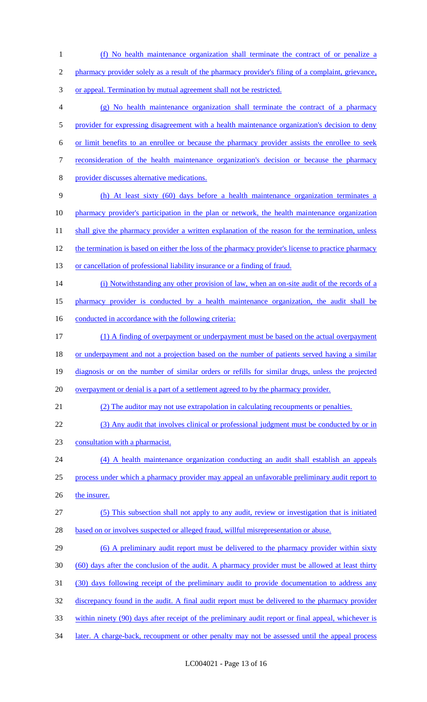(f) No health maintenance organization shall terminate the contract of or penalize a pharmacy provider solely as a result of the pharmacy provider's filing of a complaint, grievance, or appeal. Termination by mutual agreement shall not be restricted. (g) No health maintenance organization shall terminate the contract of a pharmacy 5 provider for expressing disagreement with a health maintenance organization's decision to deny or limit benefits to an enrollee or because the pharmacy provider assists the enrollee to seek reconsideration of the health maintenance organization's decision or because the pharmacy provider discusses alternative medications. (h) At least sixty (60) days before a health maintenance organization terminates a pharmacy provider's participation in the plan or network, the health maintenance organization 11 shall give the pharmacy provider a written explanation of the reason for the termination, unless the termination is based on either the loss of the pharmacy provider's license to practice pharmacy 13 or cancellation of professional liability insurance or a finding of fraud. 14 (i) Notwithstanding any other provision of law, when an on-site audit of the records of a pharmacy provider is conducted by a health maintenance organization, the audit shall be 16 conducted in accordance with the following criteria: (1) A finding of overpayment or underpayment must be based on the actual overpayment or underpayment and not a projection based on the number of patients served having a similar diagnosis or on the number of similar orders or refills for similar drugs, unless the projected 20 overpayment or denial is a part of a settlement agreed to by the pharmacy provider. (2) The auditor may not use extrapolation in calculating recoupments or penalties. (3) Any audit that involves clinical or professional judgment must be conducted by or in consultation with a pharmacist. (4) A health maintenance organization conducting an audit shall establish an appeals process under which a pharmacy provider may appeal an unfavorable preliminary audit report to 26 the insurer. (5) This subsection shall not apply to any audit, review or investigation that is initiated based on or involves suspected or alleged fraud, willful misrepresentation or abuse. 29 (6) A preliminary audit report must be delivered to the pharmacy provider within sixty (60) days after the conclusion of the audit. A pharmacy provider must be allowed at least thirty (30) days following receipt of the preliminary audit to provide documentation to address any 32 discrepancy found in the audit. A final audit report must be delivered to the pharmacy provider within ninety (90) days after receipt of the preliminary audit report or final appeal, whichever is 34 later. A charge-back, recoupment or other penalty may not be assessed until the appeal process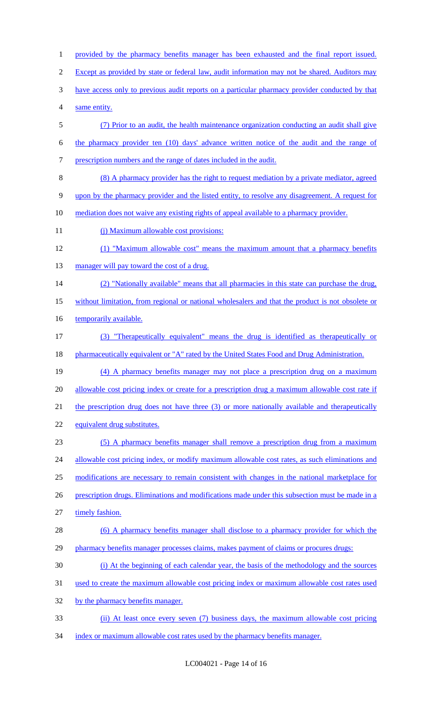1 provided by the pharmacy benefits manager has been exhausted and the final report issued. 2 Except as provided by state or federal law, audit information may not be shared. Auditors may have access only to previous audit reports on a particular pharmacy provider conducted by that same entity. (7) Prior to an audit, the health maintenance organization conducting an audit shall give the pharmacy provider ten (10) days' advance written notice of the audit and the range of prescription numbers and the range of dates included in the audit. (8) A pharmacy provider has the right to request mediation by a private mediator, agreed upon by the pharmacy provider and the listed entity, to resolve any disagreement. A request for mediation does not waive any existing rights of appeal available to a pharmacy provider. 11 (j) Maximum allowable cost provisions: (1) "Maximum allowable cost" means the maximum amount that a pharmacy benefits 13 manager will pay toward the cost of a drug. (2) "Nationally available" means that all pharmacies in this state can purchase the drug, without limitation, from regional or national wholesalers and that the product is not obsolete or 16 temporarily available. (3) "Therapeutically equivalent" means the drug is identified as therapeutically or 18 pharmaceutically equivalent or "A" rated by the United States Food and Drug Administration. (4) A pharmacy benefits manager may not place a prescription drug on a maximum 20 allowable cost pricing index or create for a prescription drug a maximum allowable cost rate if 21 the prescription drug does not have three (3) or more nationally available and therapeutically equivalent drug substitutes. (5) A pharmacy benefits manager shall remove a prescription drug from a maximum 24 allowable cost pricing index, or modify maximum allowable cost rates, as such eliminations and modifications are necessary to remain consistent with changes in the national marketplace for 26 prescription drugs. Eliminations and modifications made under this subsection must be made in a timely fashion. 28 (6) A pharmacy benefits manager shall disclose to a pharmacy provider for which the 29 pharmacy benefits manager processes claims, makes payment of claims or procures drugs: (i) At the beginning of each calendar year, the basis of the methodology and the sources used to create the maximum allowable cost pricing index or maximum allowable cost rates used 32 by the pharmacy benefits manager. (ii) At least once every seven (7) business days, the maximum allowable cost pricing

34 index or maximum allowable cost rates used by the pharmacy benefits manager.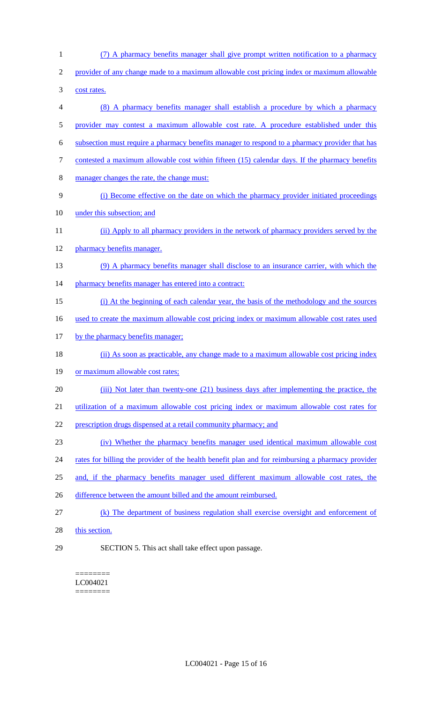- (7) A pharmacy benefits manager shall give prompt written notification to a pharmacy provider of any change made to a maximum allowable cost pricing index or maximum allowable cost rates. (8) A pharmacy benefits manager shall establish a procedure by which a pharmacy provider may contest a maximum allowable cost rate. A procedure established under this subsection must require a pharmacy benefits manager to respond to a pharmacy provider that has 7 contested a maximum allowable cost within fifteen (15) calendar days. If the pharmacy benefits manager changes the rate, the change must: (i) Become effective on the date on which the pharmacy provider initiated proceedings under this subsection; and (ii) Apply to all pharmacy providers in the network of pharmacy providers served by the pharmacy benefits manager. (9) A pharmacy benefits manager shall disclose to an insurance carrier, with which the 14 pharmacy benefits manager has entered into a contract: (i) At the beginning of each calendar year, the basis of the methodology and the sources used to create the maximum allowable cost pricing index or maximum allowable cost rates used 17 by the pharmacy benefits manager; (ii) As soon as practicable, any change made to a maximum allowable cost pricing index 19 or maximum allowable cost rates; 20 (iii) Not later than twenty-one (21) business days after implementing the practice, the utilization of a maximum allowable cost pricing index or maximum allowable cost rates for prescription drugs dispensed at a retail community pharmacy; and (iv) Whether the pharmacy benefits manager used identical maximum allowable cost 24 rates for billing the provider of the health benefit plan and for reimbursing a pharmacy provider and, if the pharmacy benefits manager used different maximum allowable cost rates, the difference between the amount billed and the amount reimbursed. (k) The department of business regulation shall exercise oversight and enforcement of 28 this section.
- 

SECTION 5. This act shall take effect upon passage.

======== LC004021 ========